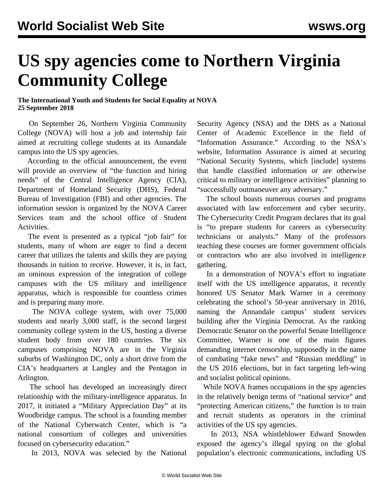## **US spy agencies come to Northern Virginia Community College**

## **The International Youth and Students for Social Equality at NOVA 25 September 2018**

 On September 26, Northern Virginia Community College (NOVA) will host a job and internship fair aimed at recruiting college students at its Annandale campus into the US spy agencies.

 According to the official announcement, the event will provide an overview of "the function and hiring needs" of the Central Intelligence Agency (CIA), Department of Homeland Security (DHS), Federal Bureau of Investigation (FBI) and other agencies. The information session is organized by the NOVA Career Services team and the school office of Student Activities.

 The event is presented as a typical "job fair" for students, many of whom are eager to find a decent career that utilizes the talents and skills they are paying thousands in tuition to receive. However, it is, in fact, an ominous expression of the integration of college campuses with the US military and intelligence apparatus, which is responsible for countless crimes and is preparing many more.

 The NOVA college system, with over 75,000 students and nearly 3,000 staff, is the second largest community college system in the US, hosting a diverse student body from over 180 countries. The six campuses comprising NOVA are in the Virginia suburbs of Washington DC, only a short drive from the CIA's headquarters at Langley and the Pentagon in Arlington.

 The school has developed an increasingly direct relationship with the military-intelligence apparatus. In 2017, it initiated a "Military Appreciation Day" at its Woodbridge campus. The school is a founding member of the National Cyberwatch Center, which is "a national consortium of colleges and universities focused on cybersecurity education."

In 2013, NOVA was selected by the National

Security Agency (NSA) and the DHS as a National Center of Academic Excellence in the field of "Information Assurance." According to the NSA's website, Information Assurance is aimed at securing "National Security Systems, which [include] systems that handle classified information or are otherwise critical to military or intelligence activities" planning to "successfully outmaneuver any adversary."

 The school boasts numerous courses and programs associated with law enforcement and cyber security. The Cybersecurity Credit Program declares that its goal is "to prepare students for careers as cybersecurity technicians or analysts." Many of the professors teaching these courses are former government officials or contractors who are also involved in intelligence gathering.

 In a demonstration of NOVA's effort to ingratiate itself with the US intelligence apparatus, it recently honored US Senator Mark Warner in a ceremony celebrating the school's 50-year anniversary in 2016, naming the Annandale campus' student services building after the Virginia Democrat. As the ranking Democratic Senator on the powerful Senate Intelligence Committee, Warner is one of the main figures [demanding internet censorship,](/en/articles/2017/11/14/warn-n14.html) supposedly in the name of combating "fake news" and "Russian meddling" in the US 2016 elections, but in fact targeting left-wing and socialist political opinions.

 While NOVA frames occupations in the spy agencies in the relatively benign terms of "national service" and "protecting American citizens," the function is to train and recruit students as operators in the criminal activities of the US spy agencies.

 In 2013, NSA whistleblower Edward Snowden exposed the agency's illegal spying on the global population's electronic communications, including US